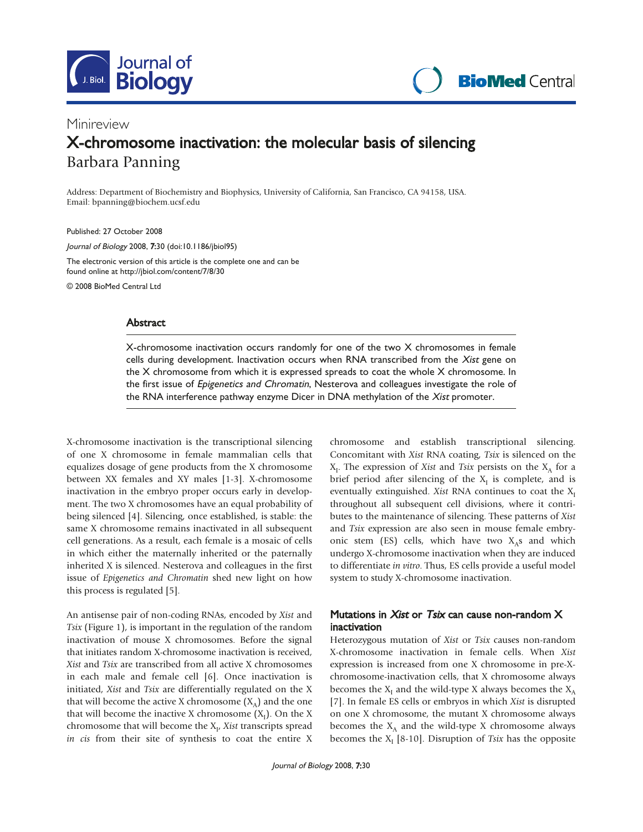

**BioMed Central** 

# Minireview X-chromosome inactivation: the molecular basis of silencing Barbara Panning

Address: Department of Biochemistry and Biophysics, University of California, San Francisco, CA 94158, USA. Email: bpanning@biochem.ucsf.edu

Published: 27 October 2008

Journal of Biology 2008, 7:30 (doi:10.1186/jbiol95)

The electronic version of this article is the complete one and can be found online at http://jbiol.com/content/7/8/30

© 2008 BioMed Central Ltd

## Abstract

X-chromosome inactivation occurs randomly for one of the two X chromosomes in female cells during development. Inactivation occurs when RNA transcribed from the Xist gene on the X chromosome from which it is expressed spreads to coat the whole X chromosome. In the first issue of *Epigenetics and Chromatin*, Nesterova and colleagues investigate the role of the RNA interference pathway enzyme Dicer in DNA methylation of the Xist promoter.

X-chromosome inactivation is the transcriptional silencing of one X chromosome in female mammalian cells that equalizes dosage of gene products from the X chromosome between XX females and XY males [1-3]. X-chromosome inactivation in the embryo proper occurs early in development. The two X chromosomes have an equal probability of being silenced [4]. Silencing, once established, is stable: the same X chromosome remains inactivated in all subsequent cell generations. As a result, each female is a mosaic of cells in which either the maternally inherited or the paternally inherited X is silenced. Nesterova and colleagues in the first issue of Epigenetics and Chromatin shed new light on how this process is regulated [5].

An antisense pair of non-coding RNAs, encoded by Xist and Tsix (Figure 1), is important in the regulation of the random inactivation of mouse X chromosomes. Before the signal that initiates random X-chromosome inactivation is received, Xist and Tsix are transcribed from all active X chromosomes in each male and female cell [6]. Once inactivation is initiated, Xist and Tsix are differentially regulated on the X that will become the active X chromosome  $(X_A)$  and the one that will become the inactive X chromosome  $(X_1)$ . On the X chromosome that will become the  $X_{I'}$  Xist transcripts spread in cis from their site of synthesis to coat the entire X chromosome and establish transcriptional silencing. Concomitant with Xist RNA coating, Tsix is silenced on the  $X_I$ . The expression of *Xist* and *Tsix* persists on the  $X_A$  for a brief period after silencing of the  $X<sub>I</sub>$  is complete, and is eventually extinguished. Xist RNA continues to coat the  $X<sub>I</sub>$ throughout all subsequent cell divisions, where it contributes to the maintenance of silencing. These patterns of Xist and Tsix expression are also seen in mouse female embryonic stem (ES) cells, which have two  $X_A$ s and which undergo X-chromosome inactivation when they are induced to differentiate in vitro. Thus, ES cells provide a useful model system to study X-chromosome inactivation.

## Mutations in *Xist* or *Tsix* can cause non-random  $X$ inactivation

Heterozygous mutation of Xist or Tsix causes non-random X-chromosome inactivation in female cells. When Xist expression is increased from one X chromosome in pre-Xchromosome-inactivation cells, that X chromosome always becomes the  $X<sub>I</sub>$  and the wild-type X always becomes the  $X<sub>A</sub>$ [7]. In female ES cells or embryos in which Xist is disrupted on one X chromosome, the mutant X chromosome always becomes the  $X_A$  and the wild-type X chromosome always becomes the  $X_I$  [8-10]. Disruption of Tsix has the opposite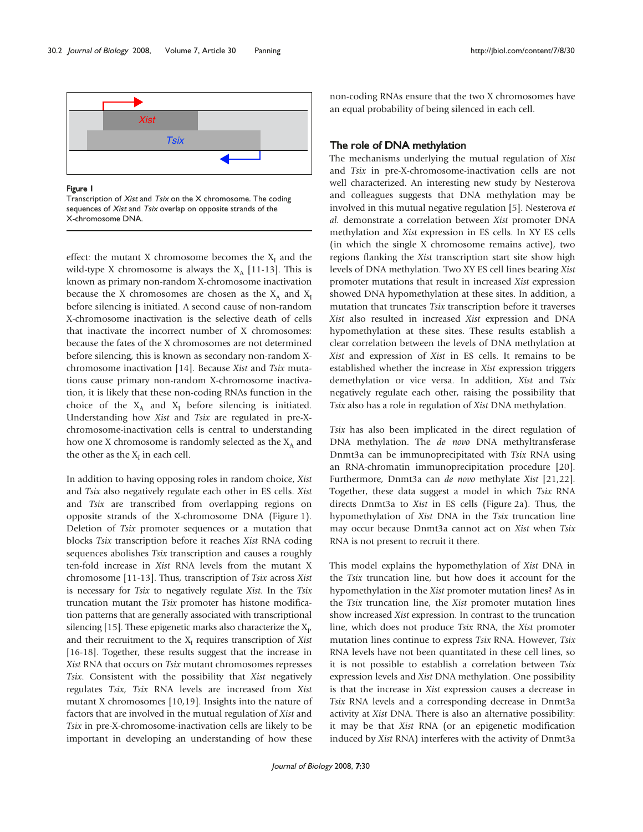

#### Figure 1

Transcription of Xist and Tsix on the X chromosome. The coding sequences of Xist and Tsix overlap on opposite strands of the X-chromosome DNA.

effect: the mutant X chromosome becomes the  $X_I$  and the wild-type X chromosome is always the  $X_A$  [11-13]. This is known as primary non-random X-chromosome inactivation because the X chromosomes are chosen as the  $X_A$  and  $X_I$ before silencing is initiated. A second cause of non-random X-chromosome inactivation is the selective death of cells that inactivate the incorrect number of X chromosomes: because the fates of the X chromosomes are not determined before silencing, this is known as secondary non-random Xchromosome inactivation [14]. Because Xist and Tsix mutations cause primary non-random X-chromosome inactivation, it is likely that these non-coding RNAs function in the choice of the  $X_A$  and  $X_I$  before silencing is initiated. Understanding how Xist and Tsix are regulated in pre-Xchromosome-inactivation cells is central to understanding how one X chromosome is randomly selected as the  $X_A$  and the other as the  $X<sub>I</sub>$  in each cell.

In addition to having opposing roles in random choice, Xist and Tsix also negatively regulate each other in ES cells. Xist and Tsix are transcribed from overlapping regions on opposite strands of the X-chromosome DNA (Figure 1). Deletion of Tsix promoter sequences or a mutation that blocks Tsix transcription before it reaches Xist RNA coding sequences abolishes Tsix transcription and causes a roughly ten-fold increase in Xist RNA levels from the mutant X chromosome [11-13]. Thus, transcription of Tsix across Xist is necessary for Tsix to negatively regulate Xist. In the Tsix truncation mutant the Tsix promoter has histone modification patterns that are generally associated with transcriptional silencing [15]. These epigenetic marks also characterize the  $X_{I}$ , and their recruitment to the  $X<sub>I</sub>$  requires transcription of Xist [16-18]. Together, these results suggest that the increase in Xist RNA that occurs on Tsix mutant chromosomes represses Tsix. Consistent with the possibility that Xist negatively regulates Tsix, Tsix RNA levels are increased from Xist mutant X chromosomes [10,19]. Insights into the nature of factors that are involved in the mutual regulation of Xist and Tsix in pre-X-chromosome-inactivation cells are likely to be important in developing an understanding of how these

non-coding RNAs ensure that the two X chromosomes have an equal probability of being silenced in each cell.

## The role of DNA methylation

The mechanisms underlying the mutual regulation of Xist and Tsix in pre-X-chromosome-inactivation cells are not well characterized. An interesting new study by Nesterova and colleagues suggests that DNA methylation may be involved in this mutual negative regulation [5]. Nesterova et al. demonstrate a correlation between Xist promoter DNA methylation and Xist expression in ES cells. In XY ES cells (in which the single X chromosome remains active), two regions flanking the Xist transcription start site show high levels of DNA methylation. Two XY ES cell lines bearing Xist promoter mutations that result in increased Xist expression showed DNA hypomethylation at these sites. In addition, a mutation that truncates Tsix transcription before it traverses Xist also resulted in increased Xist expression and DNA hypomethylation at these sites. These results establish a clear correlation between the levels of DNA methylation at Xist and expression of Xist in ES cells. It remains to be established whether the increase in Xist expression triggers demethylation or vice versa. In addition, Xist and Tsix negatively regulate each other, raising the possibility that Tsix also has a role in regulation of Xist DNA methylation.

Tsix has also been implicated in the direct regulation of DNA methylation. The de novo DNA methyltransferase Dnmt3a can be immunoprecipitated with Tsix RNA using an RNA-chromatin immunoprecipitation procedure [20]. Furthermore, Dnmt3a can de novo methylate Xist [21,22]. Together, these data suggest a model in which Tsix RNA directs Dnmt3a to Xist in ES cells (Figure 2a). Thus, the hypomethylation of Xist DNA in the Tsix truncation line may occur because Dnmt3a cannot act on Xist when Tsix RNA is not present to recruit it there.

This model explains the hypomethylation of Xist DNA in the Tsix truncation line, but how does it account for the hypomethylation in the Xist promoter mutation lines? As in the Tsix truncation line, the Xist promoter mutation lines show increased Xist expression. In contrast to the truncation line, which does not produce Tsix RNA, the Xist promoter mutation lines continue to express Tsix RNA. However, Tsix RNA levels have not been quantitated in these cell lines, so it is not possible to establish a correlation between Tsix expression levels and Xist DNA methylation. One possibility is that the increase in Xist expression causes a decrease in Tsix RNA levels and a corresponding decrease in Dnmt3a activity at Xist DNA. There is also an alternative possibility: it may be that Xist RNA (or an epigenetic modification induced by Xist RNA) interferes with the activity of Dnmt3a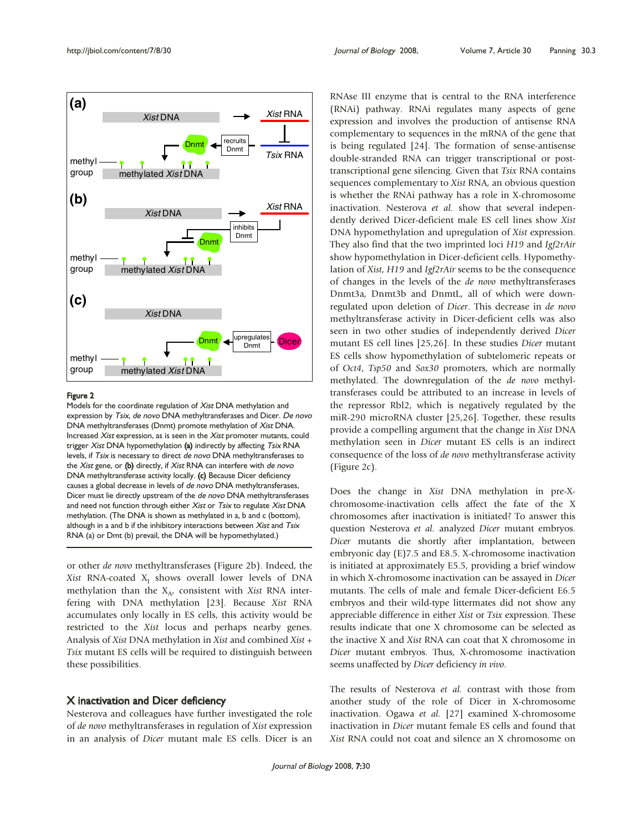

#### Figure 2

Models for the coordinate regulation of Xist DNA methylation and expression by Tsix, de novo DNA methyltransferases and Dicer. De novo DNA methyltransferases (Dnmt) promote methylation of Xist DNA. Increased Xist expression, as is seen in the Xist promoter mutants, could trigger Xist DNA hypomethylation (a) indirectly by affecting Tsix RNA levels, if Tsix is necessary to direct de novo DNA methyltransferases to the Xist gene, or  $(b)$  directly, if Xist RNA can interfere with de novo DNA methyltransferase activity locally. (c) Because Dicer deficiency causes a global decrease in levels of de novo DNA methyltransferases, Dicer must lie directly upstream of the de novo DNA methyltransferases and need not function through either Xist or Tsix to regulate Xist DNA methylation. (The DNA is shown as methylated in a, b and c (bottom), although in a and b if the inhibitory interactions between Xist and Tsix RNA (a) or Dmt (b) prevail, the DNA will be hypomethylated.)

or other de novo methyltransferases (Figure 2b). Indeed, the Xist RNA-coated  $X<sub>I</sub>$  shows overall lower levels of DNA methylation than the  $X_{A}$ , consistent with Xist RNA interfering with DNA methylation [23]. Because Xist RNA accumulates only locally in ES cells, this activity would be restricted to the Xist locus and perhaps nearby genes. Analysis of Xist DNA methylation in Xist and combined Xist + Tsix mutant ES cells will be required to distinguish between these possibilities.

### X inactivation and Dicer deficiency

Nesterova and colleagues have further investigated the role of de novo methyltransferases in regulation of Xist expression in an analysis of Dicer mutant male ES cells. Dicer is an RNAse III enzyme that is central to the RNA interference (RNAi) pathway. RNAi regulates many aspects of gene expression and involves the production of antisense RNA complementary to sequences in the mRNA of the gene that is being regulated [24]. The formation of sense-antisense double-stranded RNA can trigger transcriptional or posttranscriptional gene silencing. Given that Tsix RNA contains sequences complementary to Xist RNA, an obvious question is whether the RNAi pathway has a role in X-chromosome inactivation. Nesterova et al. show that several independently derived Dicer-deficient male ES cell lines show Xist DNA hypomethylation and upregulation of Xist expression. They also find that the two imprinted loci H19 and Igf2rAir show hypomethylation in Dicer-deficient cells. Hypomethylation of Xist, H19 and Igf2rAir seems to be the consequence of changes in the levels of the de novo methyltransferases Dnmt3a, Dnmt3b and DnmtL, all of which were downregulated upon deletion of Dicer. This decrease in de novo methyltransferase activity in Dicer-deficient cells was also seen in two other studies of independently derived Dicer mutant ES cell lines [25,26]. In these studies Dicer mutant ES cells show hypomethylation of subtelomeric repeats or of Oct4, Tsp50 and Sox30 promoters, which are normally methylated. The downregulation of the de novo methyltransferases could be attributed to an increase in levels of the repressor Rbl2, which is negatively regulated by the miR-290 microRNA cluster [25,26]. Together, these results provide a compelling argument that the change in Xist DNA methylation seen in Dicer mutant ES cells is an indirect consequence of the loss of de novo methyltransferase activity (Figure 2c).

Does the change in Xist DNA methylation in pre-Xchromosome-inactivation cells affect the fate of the X chromosomes after inactivation is initiated? To answer this question Nesterova et al. analyzed Dicer mutant embryos. Dicer mutants die shortly after implantation, between embryonic day (E)7.5 and E8.5. X-chromosome inactivation is initiated at approximately E5.5, providing a brief window in which X-chromosome inactivation can be assayed in Dicer mutants. The cells of male and female Dicer-deficient E6.5 embryos and their wild-type littermates did not show any appreciable difference in either Xist or Tsix expression. These results indicate that one X chromosome can be selected as the inactive X and Xist RNA can coat that X chromosome in Dicer mutant embryos. Thus, X-chromosome inactivation seems unaffected by Dicer deficiency in vivo.

The results of Nesterova et al. contrast with those from another study of the role of Dicer in X-chromosome inactivation. Ogawa et al. [27] examined X-chromosome inactivation in Dicer mutant female ES cells and found that Xist RNA could not coat and silence an X chromosome on